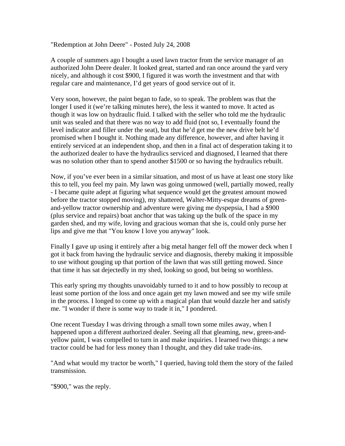"Redemption at John Deere" - Posted July 24, 2008

A couple of summers ago I bought a used lawn tractor from the service manager of an authorized John Deere dealer. It looked great, started and ran once around the yard very nicely, and although it cost \$900, I figured it was worth the investment and that with regular care and maintenance, I'd get years of good service out of it.

Very soon, however, the paint began to fade, so to speak. The problem was that the longer I used it (we're talking minutes here), the less it wanted to move. It acted as though it was low on hydraulic fluid. I talked with the seller who told me the hydraulic unit was sealed and that there was no way to add fluid (not so, I eventually found the level indicator and filler under the seat), but that he'd get me the new drive belt he'd promised when I bought it. Nothing made any difference, however, and after having it entirely serviced at an independent shop, and then in a final act of desperation taking it to the authorized dealer to have the hydraulics serviced and diagnosed, I learned that there was no solution other than to spend another \$1500 or so having the hydraulics rebuilt.

Now, if you've ever been in a similar situation, and most of us have at least one story like this to tell, you feel my pain. My lawn was going unmowed (well, partially mowed, really - I became quite adept at figuring what sequence would get the greatest amount mowed before the tractor stopped moving), my shattered, Walter-Mitty-esque dreams of greenand-yellow tractor ownership and adventure were giving me dyspepsia, I had a \$900 (plus service and repairs) boat anchor that was taking up the bulk of the space in my garden shed, and my wife, loving and gracious woman that she is, could only purse her lips and give me that "You know I love you anyway" look.

Finally I gave up using it entirely after a big metal hanger fell off the mower deck when I got it back from having the hydraulic service and diagnosis, thereby making it impossible to use without gouging up that portion of the lawn that was still getting mowed. Since that time it has sat dejectedly in my shed, looking so good, but being so worthless.

This early spring my thoughts unavoidably turned to it and to how possibly to recoup at least some portion of the loss and once again get my lawn mowed and see my wife smile in the process. I longed to come up with a magical plan that would dazzle her and satisfy me. "I wonder if there is some way to trade it in," I pondered.

One recent Tuesday I was driving through a small town some miles away, when I happened upon a different authorized dealer. Seeing all that gleaming, new, green-andyellow paint, I was compelled to turn in and make inquiries. I learned two things: a new tractor could be had for less money than I thought, and they did take trade-ins.

"And what would my tractor be worth," I queried, having told them the story of the failed transmission.

"\$900," was the reply.